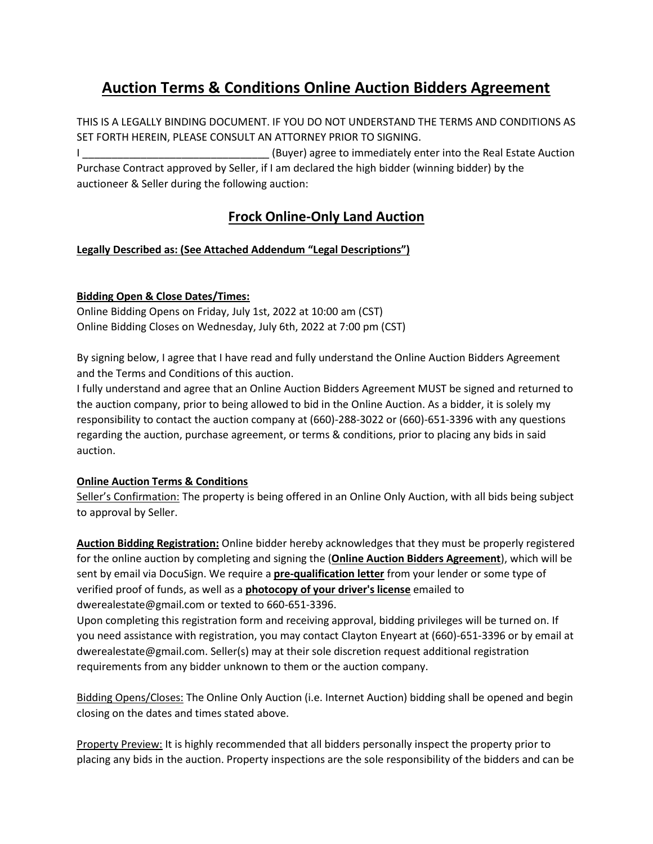## **Auction Terms & Conditions Online Auction Bidders Agreement**

THIS IS A LEGALLY BINDING DOCUMENT. IF YOU DO NOT UNDERSTAND THE TERMS AND CONDITIONS AS SET FORTH HEREIN, PLEASE CONSULT AN ATTORNEY PRIOR TO SIGNING. I \_\_\_\_\_\_\_\_\_\_\_\_\_\_\_\_\_\_\_\_\_\_\_\_\_\_\_\_\_\_\_\_ (Buyer) agree to immediately enter into the Real Estate Auction

Purchase Contract approved by Seller, if I am declared the high bidder (winning bidder) by the auctioneer & Seller during the following auction:

### **Frock Online-Only Land Auction**

### **Legally Described as: (See Attached Addendum "Legal Descriptions")**

### **Bidding Open & Close Dates/Times:**

Online Bidding Opens on Friday, July 1st, 2022 at 10:00 am (CST) Online Bidding Closes on Wednesday, July 6th, 2022 at 7:00 pm (CST)

By signing below, I agree that I have read and fully understand the Online Auction Bidders Agreement and the Terms and Conditions of this auction.

I fully understand and agree that an Online Auction Bidders Agreement MUST be signed and returned to the auction company, prior to being allowed to bid in the Online Auction. As a bidder, it is solely my responsibility to contact the auction company at (660)-288-3022 or (660)-651-3396 with any questions regarding the auction, purchase agreement, or terms & conditions, prior to placing any bids in said auction.

### **Online Auction Terms & Conditions**

Seller's Confirmation: The property is being offered in an Online Only Auction, with all bids being subject to approval by Seller.

**Auction Bidding Registration:** Online bidder hereby acknowledges that they must be properly registered for the online auction by completing and signing the (**Online Auction Bidders Agreement**), which will be sent by email via DocuSign. We require a **pre-qualification letter** from your lender or some type of verified proof of funds, as well as a **photocopy of your driver's license** emailed to dwerealestate@gmail.com or texted to 660-651-3396.

Upon completing this registration form and receiving approval, bidding privileges will be turned on. If you need assistance with registration, you may contact Clayton Enyeart at (660)-651-3396 or by email at dwerealestate@gmail.com. Seller(s) may at their sole discretion request additional registration requirements from any bidder unknown to them or the auction company.

Bidding Opens/Closes: The Online Only Auction (i.e. Internet Auction) bidding shall be opened and begin closing on the dates and times stated above.

Property Preview: It is highly recommended that all bidders personally inspect the property prior to placing any bids in the auction. Property inspections are the sole responsibility of the bidders and can be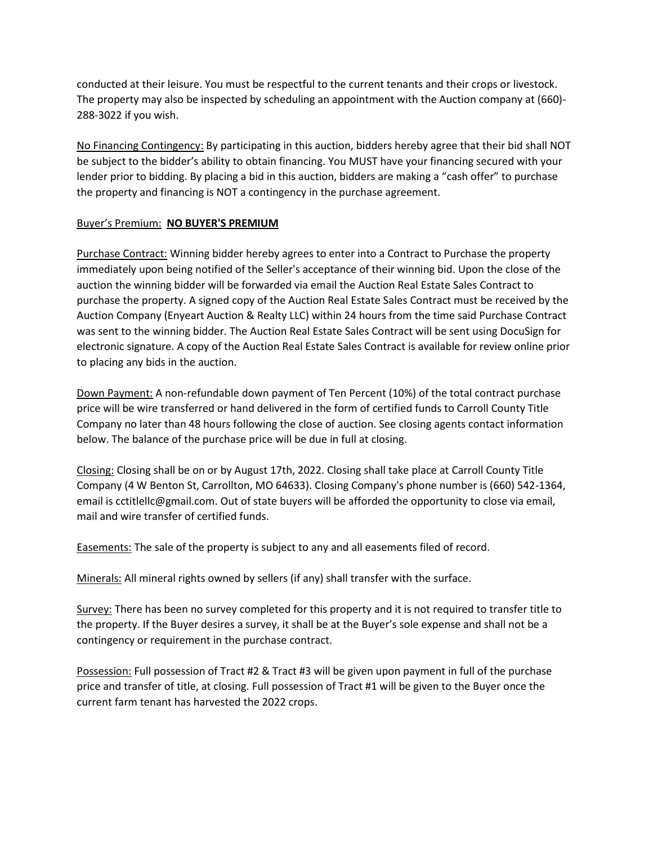conducted at their leisure. You must be respectful to the current tenants and their crops or livestock. The property may also be inspected by scheduling an appointment with the Auction company at (660)- 288-3022 if you wish.

No Financing Contingency: By participating in this auction, bidders hereby agree that their bid shall NOT be subject to the bidder's ability to obtain financing. You MUST have your financing secured with your lender prior to bidding. By placing a bid in this auction, bidders are making a "cash offer" to purchase the property and financing is NOT a contingency in the purchase agreement.

#### Buyer's Premium: **NO BUYER'S PREMIUM**

Purchase Contract: Winning bidder hereby agrees to enter into a Contract to Purchase the property immediately upon being notified of the Seller's acceptance of their winning bid. Upon the close of the auction the winning bidder will be forwarded via email the Auction Real Estate Sales Contract to purchase the property. A signed copy of the Auction Real Estate Sales Contract must be received by the Auction Company (Enyeart Auction & Realty LLC) within 24 hours from the time said Purchase Contract was sent to the winning bidder. The Auction Real Estate Sales Contract will be sent using DocuSign for electronic signature. A copy of the Auction Real Estate Sales Contract is available for review online prior to placing any bids in the auction.

Down Payment: A non-refundable down payment of Ten Percent (10%) of the total contract purchase price will be wire transferred or hand delivered in the form of certified funds to Carroll County Title Company no later than 48 hours following the close of auction. See closing agents contact information below. The balance of the purchase price will be due in full at closing.

Closing: Closing shall be on or by August 17th, 2022. Closing shall take place at Carroll County Title Company (4 W Benton St, Carrollton, MO 64633). Closing Company's phone number is (660) 542-1364, email is cctitlellc@gmail.com. Out of state buyers will be afforded the opportunity to close via email, mail and wire transfer of certified funds.

Easements: The sale of the property is subject to any and all easements filed of record.

Minerals: All mineral rights owned by sellers (if any) shall transfer with the surface.

Survey: There has been no survey completed for this property and it is not required to transfer title to the property. If the Buyer desires a survey, it shall be at the Buyer's sole expense and shall not be a contingency or requirement in the purchase contract.

Possession: Full possession of Tract #2 & Tract #3 will be given upon payment in full of the purchase price and transfer of title, at closing. Full possession of Tract #1 will be given to the Buyer once the current farm tenant has harvested the 2022 crops.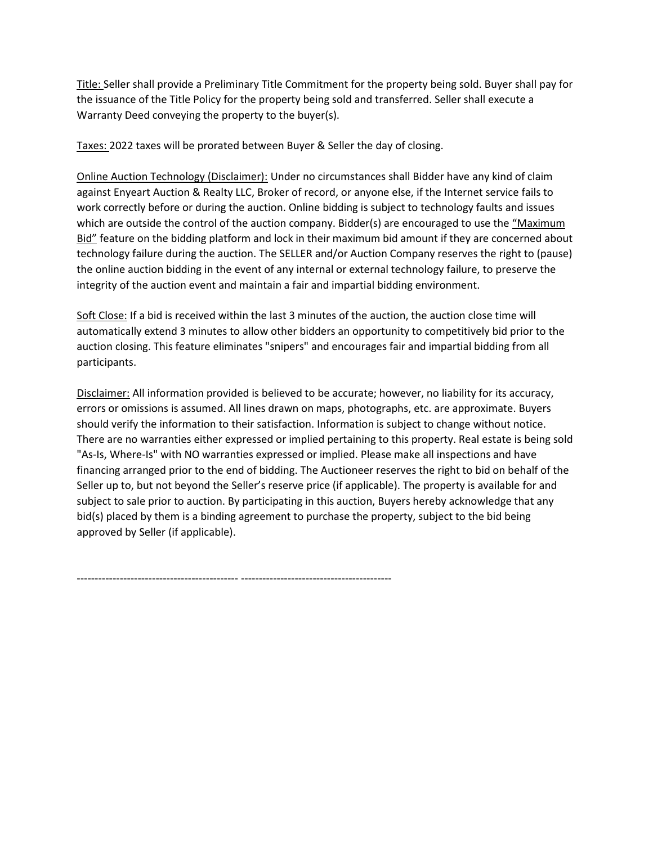Title: Seller shall provide a Preliminary Title Commitment for the property being sold. Buyer shall pay for the issuance of the Title Policy for the property being sold and transferred. Seller shall execute a Warranty Deed conveying the property to the buyer(s).

Taxes: 2022 taxes will be prorated between Buyer & Seller the day of closing.

Online Auction Technology (Disclaimer): Under no circumstances shall Bidder have any kind of claim against Enyeart Auction & Realty LLC, Broker of record, or anyone else, if the Internet service fails to work correctly before or during the auction. Online bidding is subject to technology faults and issues which are outside the control of the auction company. Bidder(s) are encouraged to use the "Maximum Bid" feature on the bidding platform and lock in their maximum bid amount if they are concerned about technology failure during the auction. The SELLER and/or Auction Company reserves the right to (pause) the online auction bidding in the event of any internal or external technology failure, to preserve the integrity of the auction event and maintain a fair and impartial bidding environment.

Soft Close: If a bid is received within the last 3 minutes of the auction, the auction close time will automatically extend 3 minutes to allow other bidders an opportunity to competitively bid prior to the auction closing. This feature eliminates "snipers" and encourages fair and impartial bidding from all participants.

Disclaimer: All information provided is believed to be accurate; however, no liability for its accuracy, errors or omissions is assumed. All lines drawn on maps, photographs, etc. are approximate. Buyers should verify the information to their satisfaction. Information is subject to change without notice. There are no warranties either expressed or implied pertaining to this property. Real estate is being sold "As-Is, Where-Is" with NO warranties expressed or implied. Please make all inspections and have financing arranged prior to the end of bidding. The Auctioneer reserves the right to bid on behalf of the Seller up to, but not beyond the Seller's reserve price (if applicable). The property is available for and subject to sale prior to auction. By participating in this auction, Buyers hereby acknowledge that any bid(s) placed by them is a binding agreement to purchase the property, subject to the bid being approved by Seller (if applicable).

--------------------------------------------- ------------------------------------------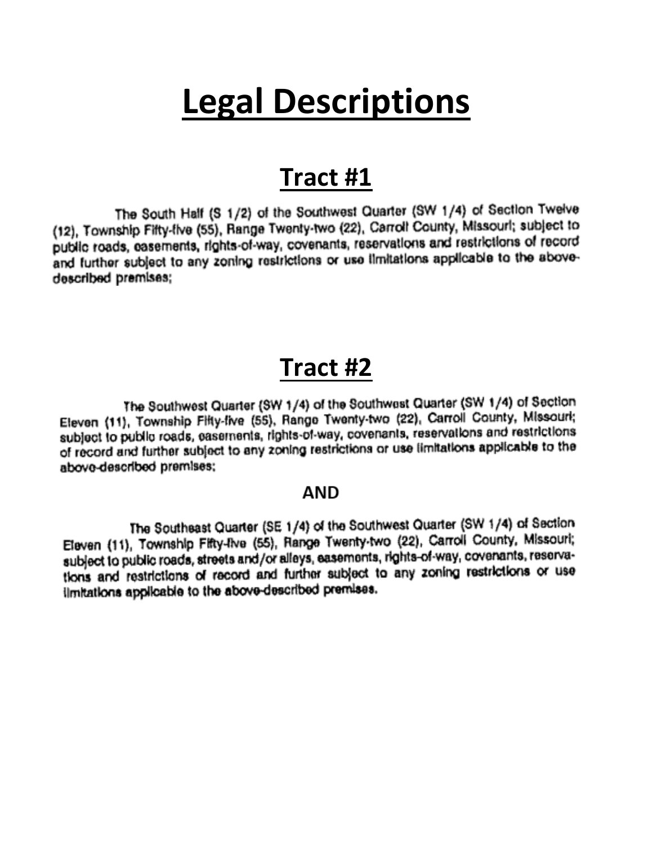# **Legal Descriptions**

## **Tract #1**

The South Half (S 1/2) of the Southwest Quarter (SW 1/4) of Section Twelve (12), Township Fifty-five (55), Range Twenty-two (22), Carroll County, Missouri; subject to public roads, easements, rights-of-way, covenants, reservations and restrictions of record and further subject to any zoning restrictions or use ilmitations applicable to the abovedescribed premises;

# **Tract #2**

The Southwest Quarter (SW 1/4) of the Southwest Quarter (SW 1/4) of Section Eleven (11), Township Fifty-five (55), Range Twenty-two (22), Carroll County, Missouri; subject to public roads, easements, rights-of-way, covenants, reservations and restrictions of record and further subject to any zoning restrictions or use limitations applicable to the above-described premises;

## AND

The Southeast Quarter (SE 1/4) of the Southwest Quarter (SW 1/4) of Section Eleven (11), Township Fifty-Ive (55), Range Twenty-two (22), Carroll County, Missouri; subject to public roads, streets and/or alleys, easements, rights-of-way, covenants, reservations and restrictions of record and further subject to any zoning restrictions or use ilmitations applicable to the above-described premises.